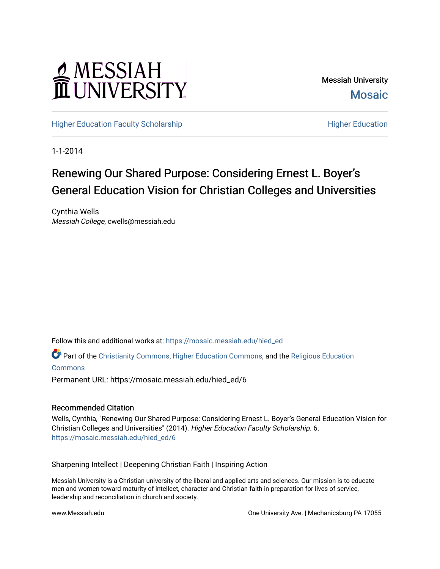# MESSIAH<br>II UNIVERSITY

Messiah University **Mosaic** 

[Higher Education Faculty Scholarship](https://mosaic.messiah.edu/hied_ed) **Higher Education** Higher Education

1-1-2014

### Renewing Our Shared Purpose: Considering Ernest L. Boyer's General Education Vision for Christian Colleges and Universities

Cynthia Wells Messiah College, cwells@messiah.edu

Follow this and additional works at: [https://mosaic.messiah.edu/hied\\_ed](https://mosaic.messiah.edu/hied_ed?utm_source=mosaic.messiah.edu%2Fhied_ed%2F6&utm_medium=PDF&utm_campaign=PDFCoverPages) 

Part of the [Christianity Commons,](http://network.bepress.com/hgg/discipline/1181?utm_source=mosaic.messiah.edu%2Fhied_ed%2F6&utm_medium=PDF&utm_campaign=PDFCoverPages) [Higher Education Commons](http://network.bepress.com/hgg/discipline/1245?utm_source=mosaic.messiah.edu%2Fhied_ed%2F6&utm_medium=PDF&utm_campaign=PDFCoverPages), and the [Religious Education](http://network.bepress.com/hgg/discipline/1414?utm_source=mosaic.messiah.edu%2Fhied_ed%2F6&utm_medium=PDF&utm_campaign=PDFCoverPages) 

#### **[Commons](http://network.bepress.com/hgg/discipline/1414?utm_source=mosaic.messiah.edu%2Fhied_ed%2F6&utm_medium=PDF&utm_campaign=PDFCoverPages)**

Permanent URL: https://mosaic.messiah.edu/hied\_ed/6

#### Recommended Citation

Wells, Cynthia, "Renewing Our Shared Purpose: Considering Ernest L. Boyer's General Education Vision for Christian Colleges and Universities" (2014). Higher Education Faculty Scholarship. 6. [https://mosaic.messiah.edu/hied\\_ed/6](https://mosaic.messiah.edu/hied_ed/6?utm_source=mosaic.messiah.edu%2Fhied_ed%2F6&utm_medium=PDF&utm_campaign=PDFCoverPages) 

Sharpening Intellect | Deepening Christian Faith | Inspiring Action

Messiah University is a Christian university of the liberal and applied arts and sciences. Our mission is to educate men and women toward maturity of intellect, character and Christian faith in preparation for lives of service, leadership and reconciliation in church and society.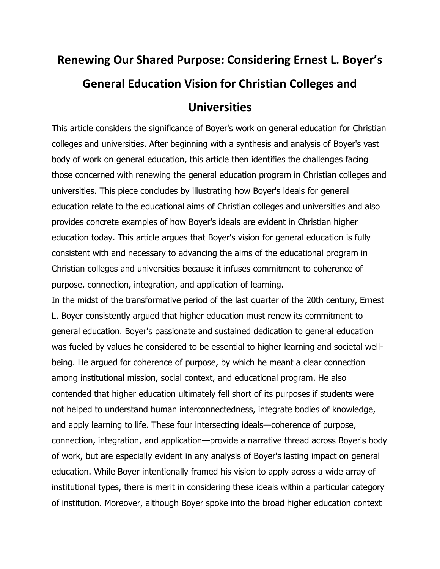## **Renewing Our Shared Purpose: Considering Ernest L. Boyer's General Education Vision for Christian Colleges and Universities**

This article considers the significance of Boyer's work on general education for Christian colleges and universities. After beginning with a synthesis and analysis of Boyer's vast body of work on general education, this article then identifies the challenges facing those concerned with renewing the general education program in Christian colleges and universities. This piece concludes by illustrating how Boyer's ideals for general education relate to the educational aims of Christian colleges and universities and also provides concrete examples of how Boyer's ideals are evident in Christian higher education today. This article argues that Boyer's vision for general education is fully consistent with and necessary to advancing the aims of the educational program in Christian colleges and universities because it infuses commitment to coherence of purpose, connection, integration, and application of learning.

In the midst of the transformative period of the last quarter of the 20th century, Ernest L. Boyer consistently argued that higher education must renew its commitment to general education. Boyer's passionate and sustained dedication to general education was fueled by values he considered to be essential to higher learning and societal wellbeing. He argued for coherence of purpose, by which he meant a clear connection among institutional mission, social context, and educational program. He also contended that higher education ultimately fell short of its purposes if students were not helped to understand human interconnectedness, integrate bodies of knowledge, and apply learning to life. These four intersecting ideals—coherence of purpose, connection, integration, and application—provide a narrative thread across Boyer's body of work, but are especially evident in any analysis of Boyer's lasting impact on general education. While Boyer intentionally framed his vision to apply across a wide array of institutional types, there is merit in considering these ideals within a particular category of institution. Moreover, although Boyer spoke into the broad higher education context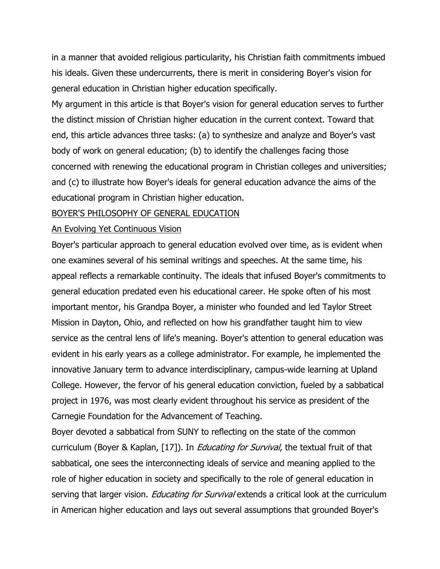in a manner that avoided religious particularity, his Christian faith commitments imbued his ideals. Given these undercurrents, there is merit in considering Boyer's vision for general education in Christian higher education specifically.

My argument in this article is that Boyer's vision for general education serves to further the distinct mission of Christian higher education in the current context. Toward that end, this article advances three tasks: (a) to synthesize and analyze and Boyer's vast body of work on general education; (b) to identify the challenges facing those concerned with renewing the educational program in Christian colleges and universities; and (c) to illustrate how Boyer's ideals for general education advance the aims of the educational program in Christian higher education.

#### BOYER'S PHILOSOPHY OF GENERAL EDUCATION

#### An Evolving Yet Continuous Vision

Boyer's particular approach to general education evolved over time, as is evident when one examines several of his seminal writings and speeches. At the same time, his appeal reflects a remarkable continuity. The ideals that infused Boyer's commitments to general education predated even his educational career. He spoke often of his most important mentor, his Grandpa Boyer, a minister who founded and led Taylor Street Mission in Dayton, Ohio, and reflected on how his grandfather taught him to view service as the central lens of life's meaning. Boyer's attention to general education was evident in his early years as a college administrator. For example, he implemented the innovative January term to advance interdisciplinary, campus-wide learning at Upland College. However, the fervor of his general education conviction, fueled by a sabbatical project in 1976, was most clearly evident throughout his service as president of the Carnegie Foundation for the Advancement of Teaching.

Boyer devoted a sabbatical from SUNY to reflecting on the state of the common curriculum (Boyer & Kaplan, [17]). In *Educating for Survival*, the textual fruit of that sabbatical, one sees the interconnecting ideals of service and meaning applied to the role of higher education in society and specifically to the role of general education in serving that larger vision. *Educating for Survival* extends a critical look at the curriculum in American higher education and lays out several assumptions that grounded Boyer's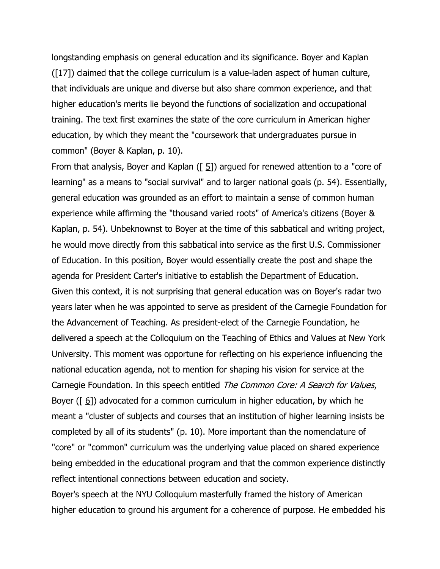longstanding emphasis on general education and its significance. Boyer and Kaplan ([17]) claimed that the college curriculum is a value-laden aspect of human culture, that individuals are unique and diverse but also share common experience, and that higher education's merits lie beyond the functions of socialization and occupational training. The text first examines the state of the core curriculum in American higher education, by which they meant the "coursework that undergraduates pursue in common" (Boyer & Kaplan, p. 10).

From that analysis, Boyer and Kaplan  $([5])$  argued for renewed attention to a "core of learning" as a means to "social survival" and to larger national goals (p. 54). Essentially, general education was grounded as an effort to maintain a sense of common human experience while affirming the "thousand varied roots" of America's citizens (Boyer & Kaplan, p. 54). Unbeknownst to Boyer at the time of this sabbatical and writing project, he would move directly from this sabbatical into service as the first U.S. Commissioner of Education. In this position, Boyer would essentially create the post and shape the agenda for President Carter's initiative to establish the Department of Education. Given this context, it is not surprising that general education was on Boyer's radar two years later when he was appointed to serve as president of the Carnegie Foundation for the Advancement of Teaching. As president-elect of the Carnegie Foundation, he delivered a speech at the Colloquium on the Teaching of Ethics and Values at New York University. This moment was opportune for reflecting on his experience influencing the national education agenda, not to mention for shaping his vision for service at the Carnegie Foundation. In this speech entitled The Common Core: A Search for Values, Boyer ( $\lceil 6 \rceil$ ) advocated for a common curriculum in higher education, by which he meant a "cluster of subjects and courses that an institution of higher learning insists be completed by all of its students" (p. 10). More important than the nomenclature of "core" or "common" curriculum was the underlying value placed on shared experience being embedded in the educational program and that the common experience distinctly reflect intentional connections between education and society.

Boyer's speech at the NYU Colloquium masterfully framed the history of American higher education to ground his argument for a coherence of purpose. He embedded his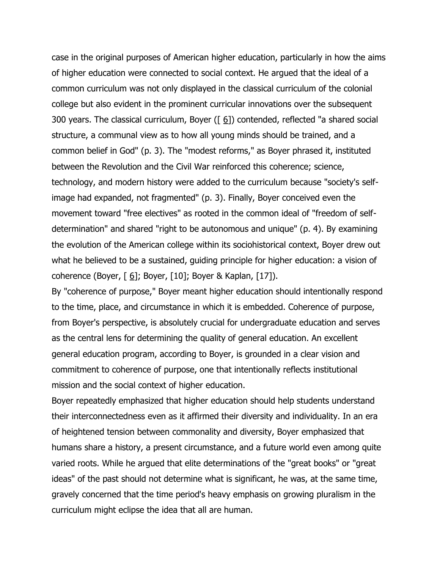case in the original purposes of American higher education, particularly in how the aims of higher education were connected to social context. He argued that the ideal of a common curriculum was not only displayed in the classical curriculum of the colonial college but also evident in the prominent curricular innovations over the subsequent 300 years. The classical curriculum, Boyer ( $[6]$ ) contended, reflected "a shared social structure, a communal view as to how all young minds should be trained, and a common belief in God" (p. 3). The "modest reforms," as Boyer phrased it, instituted between the Revolution and the Civil War reinforced this coherence; science, technology, and modern history were added to the curriculum because "society's selfimage had expanded, not fragmented" (p. 3). Finally, Boyer conceived even the movement toward "free electives" as rooted in the common ideal of "freedom of selfdetermination" and shared "right to be autonomous and unique" (p. 4). By examining the evolution of the American college within its sociohistorical context, Boyer drew out what he believed to be a sustained, guiding principle for higher education: a vision of coherence (Boyer,  $[6]$ ; Boyer,  $[10]$ ; Boyer & Kaplan,  $[17]$ ).

By "coherence of purpose," Boyer meant higher education should intentionally respond to the time, place, and circumstance in which it is embedded. Coherence of purpose, from Boyer's perspective, is absolutely crucial for undergraduate education and serves as the central lens for determining the quality of general education. An excellent general education program, according to Boyer, is grounded in a clear vision and commitment to coherence of purpose, one that intentionally reflects institutional mission and the social context of higher education.

Boyer repeatedly emphasized that higher education should help students understand their interconnectedness even as it affirmed their diversity and individuality. In an era of heightened tension between commonality and diversity, Boyer emphasized that humans share a history, a present circumstance, and a future world even among quite varied roots. While he argued that elite determinations of the "great books" or "great ideas" of the past should not determine what is significant, he was, at the same time, gravely concerned that the time period's heavy emphasis on growing pluralism in the curriculum might eclipse the idea that all are human.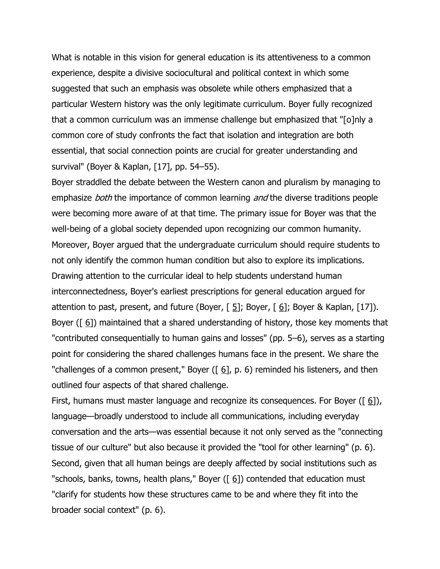What is notable in this vision for general education is its attentiveness to a common experience, despite a divisive sociocultural and political context in which some suggested that such an emphasis was obsolete while others emphasized that a particular Western history was the only legitimate curriculum. Boyer fully recognized that a common curriculum was an immense challenge but emphasized that "[o]nly a common core of study confronts the fact that isolation and integration are both essential, that social connection points are crucial for greater understanding and survival" (Boyer & Kaplan, [17], pp. 54–55).

Boyer straddled the debate between the Western canon and pluralism by managing to emphasize *both* the importance of common learning *and* the diverse traditions people were becoming more aware of at that time. The primary issue for Boyer was that the well-being of a global society depended upon recognizing our common humanity. Moreover, Boyer argued that the undergraduate curriculum should require students to not only identify the common human condition but also to explore its implications. Drawing attention to the curricular ideal to help students understand human interconnectedness, Boyer's earliest prescriptions for general education argued for attention to past, present, and future (Boyer,  $[5]$ ; Boyer,  $[6]$ ; Boyer & Kaplan,  $[17]$ ). Boyer ( $[6]$ ) maintained that a shared understanding of history, those key moments that "contributed consequentially to human gains and losses" (pp. 5–6), serves as a starting point for considering the shared challenges humans face in the present. We share the "challenges of a common present," Boyer ( $\lceil \frac{6}{5} \rceil$ , p. 6) reminded his listeners, and then outlined four aspects of that shared challenge.

First, humans must master language and recognize its consequences. For Boyer ( $\lceil 6 \rceil$ ), language—broadly understood to include all communications, including everyday conversation and the arts—was essential because it not only served as the "connecting tissue of our culture" but also because it provided the "tool for other learning" (p. 6). Second, given that all human beings are deeply affected by social institutions such as "schools, banks, towns, health plans," Boyer  $([6])$  contended that education must "clarify for students how these structures came to be and where they fit into the broader social context" (p. 6).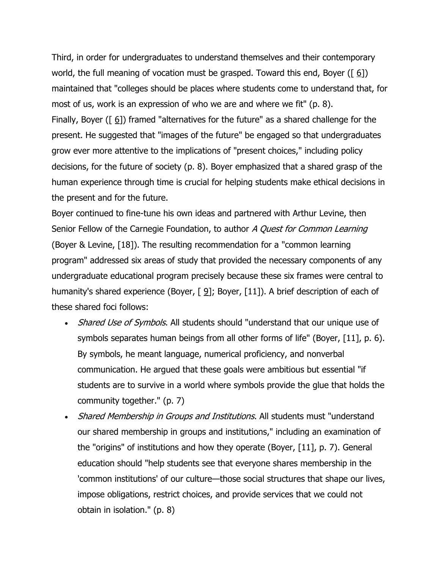Third, in order for undergraduates to understand themselves and their contemporary world, the full meaning of vocation must be grasped. Toward this end, Boyer  $(\lceil \frac{6}{2} \rceil)$ maintained that "colleges should be places where students come to understand that, for most of us, work is an expression of who we are and where we fit" (p. 8). Finally, Boyer ([ 6]) framed "alternatives for the future" as a shared challenge for the present. He suggested that "images of the future" be engaged so that undergraduates grow ever more attentive to the implications of "present choices," including policy decisions, for the future of society (p. 8). Boyer emphasized that a shared grasp of the human experience through time is crucial for helping students make ethical decisions in the present and for the future.

Boyer continued to fine-tune his own ideas and partnered with Arthur Levine, then Senior Fellow of the Carnegie Foundation, to author A Quest for Common Learning (Boyer & Levine, [18]). The resulting recommendation for a "common learning program" addressed six areas of study that provided the necessary components of any undergraduate educational program precisely because these six frames were central to humanity's shared experience (Boyer,  $[9]$ ; Boyer,  $[11]$ ). A brief description of each of these shared foci follows:

- Shared Use of Symbols. All students should "understand that our unique use of symbols separates human beings from all other forms of life" (Boyer, [11], p. 6). By symbols, he meant language, numerical proficiency, and nonverbal communication. He argued that these goals were ambitious but essential "if students are to survive in a world where symbols provide the glue that holds the community together." (p. 7)
- Shared Membership in Groups and Institutions. All students must "understand our shared membership in groups and institutions," including an examination of the "origins" of institutions and how they operate (Boyer, [11], p. 7). General education should "help students see that everyone shares membership in the 'common institutions' of our culture—those social structures that shape our lives, impose obligations, restrict choices, and provide services that we could not obtain in isolation." (p. 8)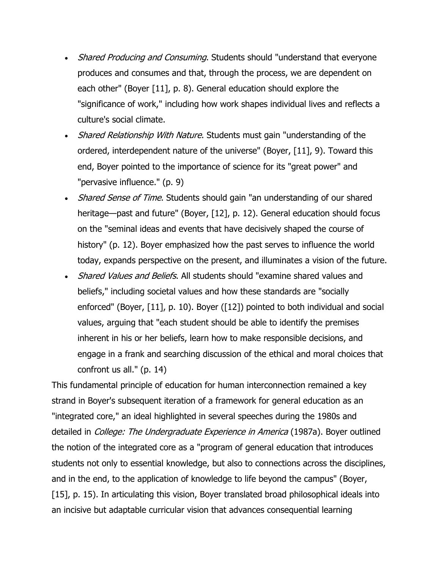- Shared Producing and Consuming. Students should "understand that everyone produces and consumes and that, through the process, we are dependent on each other" (Boyer [11], p. 8). General education should explore the "significance of work," including how work shapes individual lives and reflects a culture's social climate.
- Shared Relationship With Nature. Students must gain "understanding of the ordered, interdependent nature of the universe" (Boyer, [11], 9). Toward this end, Boyer pointed to the importance of science for its "great power" and "pervasive influence." (p. 9)
- *Shared Sense of Time*. Students should gain "an understanding of our shared heritage—past and future" (Boyer, [12], p. 12). General education should focus on the "seminal ideas and events that have decisively shaped the course of history" (p. 12). Boyer emphasized how the past serves to influence the world today, expands perspective on the present, and illuminates a vision of the future.
- Shared Values and Beliefs. All students should "examine shared values and beliefs," including societal values and how these standards are "socially enforced" (Boyer, [11], p. 10). Boyer ([12]) pointed to both individual and social values, arguing that "each student should be able to identify the premises inherent in his or her beliefs, learn how to make responsible decisions, and engage in a frank and searching discussion of the ethical and moral choices that confront us all." (p. 14)

This fundamental principle of education for human interconnection remained a key strand in Boyer's subsequent iteration of a framework for general education as an "integrated core," an ideal highlighted in several speeches during the 1980s and detailed in *College: The Undergraduate Experience in America* (1987a). Boyer outlined the notion of the integrated core as a "program of general education that introduces students not only to essential knowledge, but also to connections across the disciplines, and in the end, to the application of knowledge to life beyond the campus" (Boyer, [15], p. 15). In articulating this vision, Boyer translated broad philosophical ideals into an incisive but adaptable curricular vision that advances consequential learning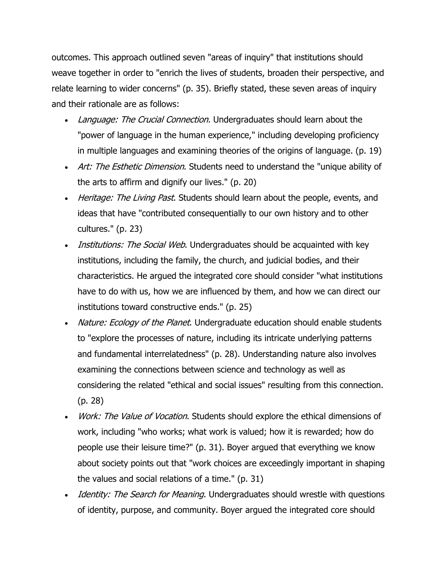outcomes. This approach outlined seven "areas of inquiry" that institutions should weave together in order to "enrich the lives of students, broaden their perspective, and relate learning to wider concerns" (p. 35). Briefly stated, these seven areas of inquiry and their rationale are as follows:

- Language: The Crucial Connection. Undergraduates should learn about the "power of language in the human experience," including developing proficiency in multiple languages and examining theories of the origins of language. (p. 19)
- Art: The Esthetic Dimension. Students need to understand the "unique ability of the arts to affirm and dignify our lives." (p. 20)
- Heritage: The Living Past. Students should learn about the people, events, and ideas that have "contributed consequentially to our own history and to other cultures." (p. 23)
- *Institutions: The Social Web*. Undergraduates should be acquainted with key institutions, including the family, the church, and judicial bodies, and their characteristics. He argued the integrated core should consider "what institutions have to do with us, how we are influenced by them, and how we can direct our institutions toward constructive ends." (p. 25)
- Nature: Ecology of the Planet. Undergraduate education should enable students to "explore the processes of nature, including its intricate underlying patterns and fundamental interrelatedness" (p. 28). Understanding nature also involves examining the connections between science and technology as well as considering the related "ethical and social issues" resulting from this connection. (p. 28)
- Work: The Value of Vocation. Students should explore the ethical dimensions of work, including "who works; what work is valued; how it is rewarded; how do people use their leisure time?" (p. 31). Boyer argued that everything we know about society points out that "work choices are exceedingly important in shaping the values and social relations of a time." (p. 31)
- *Identity: The Search for Meaning*. Undergraduates should wrestle with questions of identity, purpose, and community. Boyer argued the integrated core should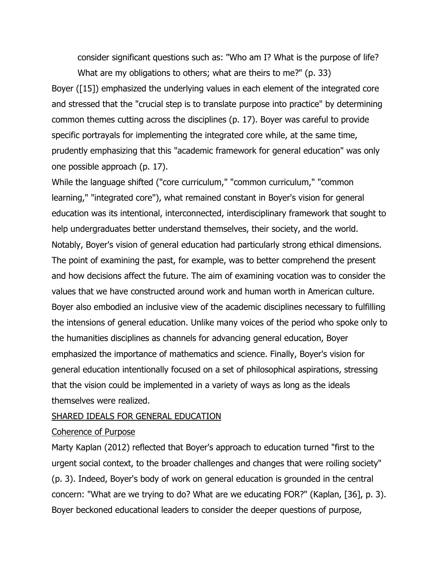consider significant questions such as: "Who am I? What is the purpose of life?

What are my obligations to others; what are theirs to me?" (p. 33) Boyer ([15]) emphasized the underlying values in each element of the integrated core and stressed that the "crucial step is to translate purpose into practice" by determining common themes cutting across the disciplines (p. 17). Boyer was careful to provide specific portrayals for implementing the integrated core while, at the same time, prudently emphasizing that this "academic framework for general education" was only one possible approach (p. 17).

While the language shifted ("core curriculum," "common curriculum," "common learning," "integrated core"), what remained constant in Boyer's vision for general education was its intentional, interconnected, interdisciplinary framework that sought to help undergraduates better understand themselves, their society, and the world. Notably, Boyer's vision of general education had particularly strong ethical dimensions. The point of examining the past, for example, was to better comprehend the present and how decisions affect the future. The aim of examining vocation was to consider the values that we have constructed around work and human worth in American culture. Boyer also embodied an inclusive view of the academic disciplines necessary to fulfilling the intensions of general education. Unlike many voices of the period who spoke only to the humanities disciplines as channels for advancing general education, Boyer emphasized the importance of mathematics and science. Finally, Boyer's vision for general education intentionally focused on a set of philosophical aspirations, stressing that the vision could be implemented in a variety of ways as long as the ideals themselves were realized.

#### SHARED IDEALS FOR GENERAL EDUCATION

#### Coherence of Purpose

Marty Kaplan (2012) reflected that Boyer's approach to education turned "first to the urgent social context, to the broader challenges and changes that were roiling society" (p. 3). Indeed, Boyer's body of work on general education is grounded in the central concern: "What are we trying to do? What are we educating FOR?" (Kaplan, [36], p. 3). Boyer beckoned educational leaders to consider the deeper questions of purpose,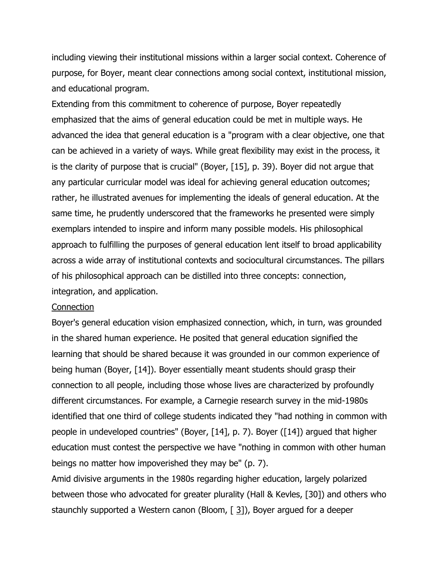including viewing their institutional missions within a larger social context. Coherence of purpose, for Boyer, meant clear connections among social context, institutional mission, and educational program.

Extending from this commitment to coherence of purpose, Boyer repeatedly emphasized that the aims of general education could be met in multiple ways. He advanced the idea that general education is a "program with a clear objective, one that can be achieved in a variety of ways. While great flexibility may exist in the process, it is the clarity of purpose that is crucial" (Boyer, [15], p. 39). Boyer did not argue that any particular curricular model was ideal for achieving general education outcomes; rather, he illustrated avenues for implementing the ideals of general education. At the same time, he prudently underscored that the frameworks he presented were simply exemplars intended to inspire and inform many possible models. His philosophical approach to fulfilling the purposes of general education lent itself to broad applicability across a wide array of institutional contexts and sociocultural circumstances. The pillars of his philosophical approach can be distilled into three concepts: connection, integration, and application.

#### **Connection**

Boyer's general education vision emphasized connection, which, in turn, was grounded in the shared human experience. He posited that general education signified the learning that should be shared because it was grounded in our common experience of being human (Boyer, [14]). Boyer essentially meant students should grasp their connection to all people, including those whose lives are characterized by profoundly different circumstances. For example, a Carnegie research survey in the mid-1980s identified that one third of college students indicated they "had nothing in common with people in undeveloped countries" (Boyer, [14], p. 7). Boyer ([14]) argued that higher education must contest the perspective we have "nothing in common with other human beings no matter how impoverished they may be" (p. 7).

Amid divisive arguments in the 1980s regarding higher education, largely polarized between those who advocated for greater plurality (Hall & Kevles, [30]) and others who staunchly supported a Western canon (Bloom,  $\lceil 3 \rceil$ ), Boyer argued for a deeper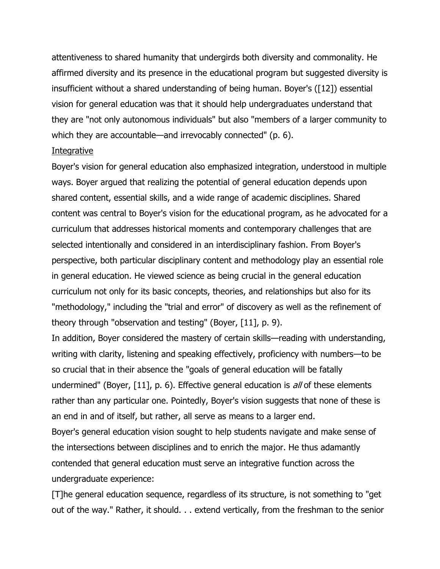attentiveness to shared humanity that undergirds both diversity and commonality. He affirmed diversity and its presence in the educational program but suggested diversity is insufficient without a shared understanding of being human. Boyer's ([12]) essential vision for general education was that it should help undergraduates understand that they are "not only autonomous individuals" but also "members of a larger community to which they are accountable—and irrevocably connected" (p. 6).

#### **Integrative**

Boyer's vision for general education also emphasized integration, understood in multiple ways. Boyer argued that realizing the potential of general education depends upon shared content, essential skills, and a wide range of academic disciplines. Shared content was central to Boyer's vision for the educational program, as he advocated for a curriculum that addresses historical moments and contemporary challenges that are selected intentionally and considered in an interdisciplinary fashion. From Boyer's perspective, both particular disciplinary content and methodology play an essential role in general education. He viewed science as being crucial in the general education curriculum not only for its basic concepts, theories, and relationships but also for its "methodology," including the "trial and error" of discovery as well as the refinement of theory through "observation and testing" (Boyer, [11], p. 9).

In addition, Boyer considered the mastery of certain skills—reading with understanding, writing with clarity, listening and speaking effectively, proficiency with numbers—to be so crucial that in their absence the "goals of general education will be fatally undermined" (Boyer,  $[11]$ , p. 6). Effective general education is  $all$  of these elements rather than any particular one. Pointedly, Boyer's vision suggests that none of these is an end in and of itself, but rather, all serve as means to a larger end. Boyer's general education vision sought to help students navigate and make sense of the intersections between disciplines and to enrich the major. He thus adamantly contended that general education must serve an integrative function across the undergraduate experience:

[T]he general education sequence, regardless of its structure, is not something to "get out of the way." Rather, it should. . . extend vertically, from the freshman to the senior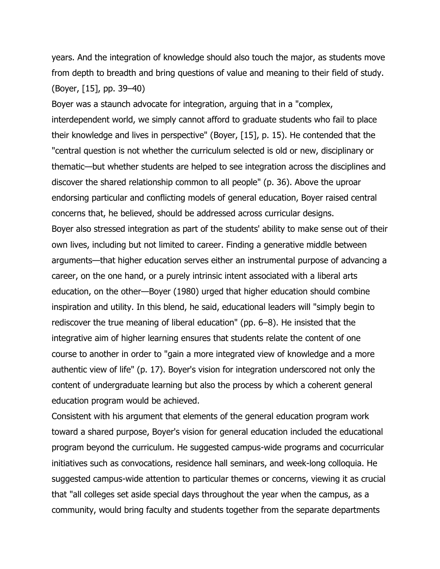years. And the integration of knowledge should also touch the major, as students move from depth to breadth and bring questions of value and meaning to their field of study. (Boyer, [15], pp. 39–40)

Boyer was a staunch advocate for integration, arguing that in a "complex, interdependent world, we simply cannot afford to graduate students who fail to place their knowledge and lives in perspective" (Boyer, [15], p. 15). He contended that the "central question is not whether the curriculum selected is old or new, disciplinary or thematic—but whether students are helped to see integration across the disciplines and discover the shared relationship common to all people" (p. 36). Above the uproar endorsing particular and conflicting models of general education, Boyer raised central concerns that, he believed, should be addressed across curricular designs. Boyer also stressed integration as part of the students' ability to make sense out of their own lives, including but not limited to career. Finding a generative middle between arguments—that higher education serves either an instrumental purpose of advancing a career, on the one hand, or a purely intrinsic intent associated with a liberal arts education, on the other—Boyer (1980) urged that higher education should combine inspiration and utility. In this blend, he said, educational leaders will "simply begin to rediscover the true meaning of liberal education" (pp. 6–8). He insisted that the integrative aim of higher learning ensures that students relate the content of one course to another in order to "gain a more integrated view of knowledge and a more authentic view of life" (p. 17). Boyer's vision for integration underscored not only the content of undergraduate learning but also the process by which a coherent general education program would be achieved.

Consistent with his argument that elements of the general education program work toward a shared purpose, Boyer's vision for general education included the educational program beyond the curriculum. He suggested campus-wide programs and cocurricular initiatives such as convocations, residence hall seminars, and week-long colloquia. He suggested campus-wide attention to particular themes or concerns, viewing it as crucial that "all colleges set aside special days throughout the year when the campus, as a community, would bring faculty and students together from the separate departments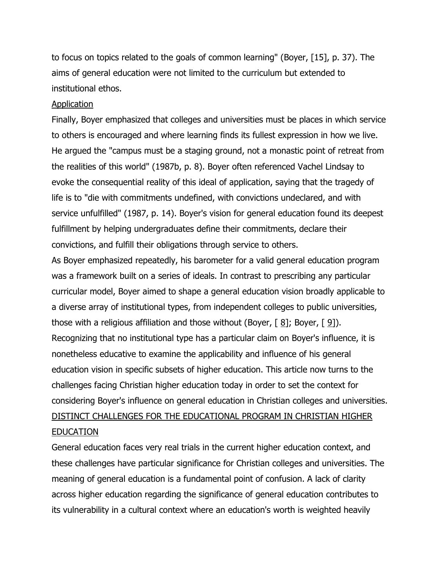to focus on topics related to the goals of common learning" (Boyer, [15], p. 37). The aims of general education were not limited to the curriculum but extended to institutional ethos.

#### Application

Finally, Boyer emphasized that colleges and universities must be places in which service to others is encouraged and where learning finds its fullest expression in how we live. He argued the "campus must be a staging ground, not a monastic point of retreat from the realities of this world" (1987b, p. 8). Boyer often referenced Vachel Lindsay to evoke the consequential reality of this ideal of application, saying that the tragedy of life is to "die with commitments undefined, with convictions undeclared, and with service unfulfilled" (1987, p. 14). Boyer's vision for general education found its deepest fulfillment by helping undergraduates define their commitments, declare their convictions, and fulfill their obligations through service to others.

As Boyer emphasized repeatedly, his barometer for a valid general education program was a framework built on a series of ideals. In contrast to prescribing any particular curricular model, Boyer aimed to shape a general education vision broadly applicable to a diverse array of institutional types, from independent colleges to public universities, those with a religious affiliation and those without (Boyer,  $[8]$ ; Boyer,  $[9]$ ). Recognizing that no institutional type has a particular claim on Boyer's influence, it is nonetheless educative to examine the applicability and influence of his general education vision in specific subsets of higher education. This article now turns to the challenges facing Christian higher education today in order to set the context for considering Boyer's influence on general education in Christian colleges and universities. DISTINCT CHALLENGES FOR THE EDUCATIONAL PROGRAM IN CHRISTIAN HIGHER EDUCATION

General education faces very real trials in the current higher education context, and these challenges have particular significance for Christian colleges and universities. The meaning of general education is a fundamental point of confusion. A lack of clarity across higher education regarding the significance of general education contributes to its vulnerability in a cultural context where an education's worth is weighted heavily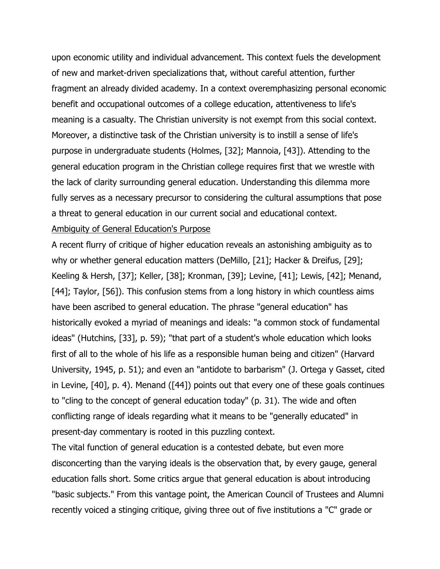upon economic utility and individual advancement. This context fuels the development of new and market-driven specializations that, without careful attention, further fragment an already divided academy. In a context overemphasizing personal economic benefit and occupational outcomes of a college education, attentiveness to life's meaning is a casualty. The Christian university is not exempt from this social context. Moreover, a distinctive task of the Christian university is to instill a sense of life's purpose in undergraduate students (Holmes, [32]; Mannoia, [43]). Attending to the general education program in the Christian college requires first that we wrestle with the lack of clarity surrounding general education. Understanding this dilemma more fully serves as a necessary precursor to considering the cultural assumptions that pose a threat to general education in our current social and educational context. Ambiguity of General Education's Purpose

A recent flurry of critique of higher education reveals an astonishing ambiguity as to why or whether general education matters (DeMillo, [21]; Hacker & Dreifus, [29]; Keeling & Hersh, [37]; Keller, [38]; Kronman, [39]; Levine, [41]; Lewis, [42]; Menand, [44]; Taylor, [56]). This confusion stems from a long history in which countless aims have been ascribed to general education. The phrase "general education" has historically evoked a myriad of meanings and ideals: "a common stock of fundamental ideas" (Hutchins, [33], p. 59); "that part of a student's whole education which looks first of all to the whole of his life as a responsible human being and citizen" (Harvard University, 1945, p. 51); and even an "antidote to barbarism" (J. Ortega y Gasset, cited in Levine, [40], p. 4). Menand ([44]) points out that every one of these goals continues to "cling to the concept of general education today" (p. 31). The wide and often conflicting range of ideals regarding what it means to be "generally educated" in present-day commentary is rooted in this puzzling context.

The vital function of general education is a contested debate, but even more disconcerting than the varying ideals is the observation that, by every gauge, general education falls short. Some critics argue that general education is about introducing "basic subjects." From this vantage point, the American Council of Trustees and Alumni recently voiced a stinging critique, giving three out of five institutions a "C" grade or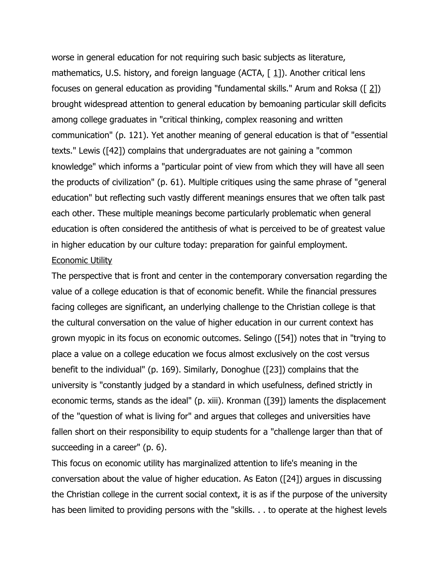worse in general education for not requiring such basic subjects as literature, mathematics, U.S. history, and foreign language (ACTA,  $[1]$ ). Another critical lens focuses on general education as providing "fundamental skills." Arum and Roksa ( $\lceil 2 \rceil$ ) brought widespread attention to general education by bemoaning particular skill deficits among college graduates in "critical thinking, complex reasoning and written communication" (p. 121). Yet another meaning of general education is that of "essential texts." Lewis ([42]) complains that undergraduates are not gaining a "common knowledge" which informs a "particular point of view from which they will have all seen the products of civilization" (p. 61). Multiple critiques using the same phrase of "general education" but reflecting such vastly different meanings ensures that we often talk past each other. These multiple meanings become particularly problematic when general education is often considered the antithesis of what is perceived to be of greatest value in higher education by our culture today: preparation for gainful employment. Economic Utility

The perspective that is front and center in the contemporary conversation regarding the value of a college education is that of economic benefit. While the financial pressures facing colleges are significant, an underlying challenge to the Christian college is that the cultural conversation on the value of higher education in our current context has grown myopic in its focus on economic outcomes. Selingo ([54]) notes that in "trying to place a value on a college education we focus almost exclusively on the cost versus benefit to the individual" (p. 169). Similarly, Donoghue ([23]) complains that the university is "constantly judged by a standard in which usefulness, defined strictly in economic terms, stands as the ideal" (p. xiii). Kronman ([39]) laments the displacement of the "question of what is living for" and argues that colleges and universities have fallen short on their responsibility to equip students for a "challenge larger than that of succeeding in a career" (p. 6).

This focus on economic utility has marginalized attention to life's meaning in the conversation about the value of higher education. As Eaton ([24]) argues in discussing the Christian college in the current social context, it is as if the purpose of the university has been limited to providing persons with the "skills. . . to operate at the highest levels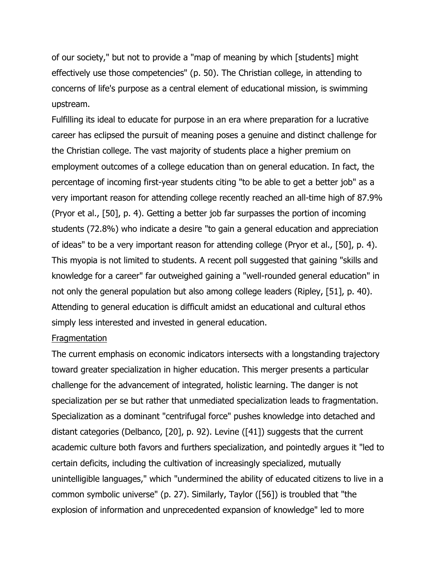of our society," but not to provide a "map of meaning by which [students] might effectively use those competencies" (p. 50). The Christian college, in attending to concerns of life's purpose as a central element of educational mission, is swimming upstream.

Fulfilling its ideal to educate for purpose in an era where preparation for a lucrative career has eclipsed the pursuit of meaning poses a genuine and distinct challenge for the Christian college. The vast majority of students place a higher premium on employment outcomes of a college education than on general education. In fact, the percentage of incoming first-year students citing "to be able to get a better job" as a very important reason for attending college recently reached an all-time high of 87.9% (Pryor et al., [50], p. 4). Getting a better job far surpasses the portion of incoming students (72.8%) who indicate a desire "to gain a general education and appreciation of ideas" to be a very important reason for attending college (Pryor et al., [50], p. 4). This myopia is not limited to students. A recent poll suggested that gaining "skills and knowledge for a career" far outweighed gaining a "well-rounded general education" in not only the general population but also among college leaders (Ripley, [51], p. 40). Attending to general education is difficult amidst an educational and cultural ethos simply less interested and invested in general education.

#### Fragmentation

The current emphasis on economic indicators intersects with a longstanding trajectory toward greater specialization in higher education. This merger presents a particular challenge for the advancement of integrated, holistic learning. The danger is not specialization per se but rather that unmediated specialization leads to fragmentation. Specialization as a dominant "centrifugal force" pushes knowledge into detached and distant categories (Delbanco, [20], p. 92). Levine ([41]) suggests that the current academic culture both favors and furthers specialization, and pointedly argues it "led to certain deficits, including the cultivation of increasingly specialized, mutually unintelligible languages," which "undermined the ability of educated citizens to live in a common symbolic universe" (p. 27). Similarly, Taylor ([56]) is troubled that "the explosion of information and unprecedented expansion of knowledge" led to more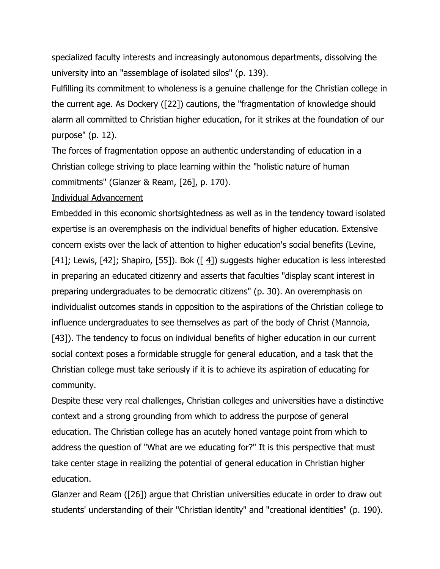specialized faculty interests and increasingly autonomous departments, dissolving the university into an "assemblage of isolated silos" (p. 139).

Fulfilling its commitment to wholeness is a genuine challenge for the Christian college in the current age. As Dockery ([22]) cautions, the "fragmentation of knowledge should alarm all committed to Christian higher education, for it strikes at the foundation of our purpose" (p. 12).

The forces of fragmentation oppose an authentic understanding of education in a Christian college striving to place learning within the "holistic nature of human commitments" (Glanzer & Ream, [26], p. 170).

#### Individual Advancement

Embedded in this economic shortsightedness as well as in the tendency toward isolated expertise is an overemphasis on the individual benefits of higher education. Extensive concern exists over the lack of attention to higher education's social benefits (Levine, [41]; Lewis, [42]; Shapiro, [55]). Bok ( $\left[\frac{4}{1}\right]$ ) suggests higher education is less interested in preparing an educated citizenry and asserts that faculties "display scant interest in preparing undergraduates to be democratic citizens" (p. 30). An overemphasis on individualist outcomes stands in opposition to the aspirations of the Christian college to influence undergraduates to see themselves as part of the body of Christ (Mannoia, [43]). The tendency to focus on individual benefits of higher education in our current social context poses a formidable struggle for general education, and a task that the Christian college must take seriously if it is to achieve its aspiration of educating for community.

Despite these very real challenges, Christian colleges and universities have a distinctive context and a strong grounding from which to address the purpose of general education. The Christian college has an acutely honed vantage point from which to address the question of "What are we educating for?" It is this perspective that must take center stage in realizing the potential of general education in Christian higher education.

Glanzer and Ream ([26]) argue that Christian universities educate in order to draw out students' understanding of their "Christian identity" and "creational identities" (p. 190).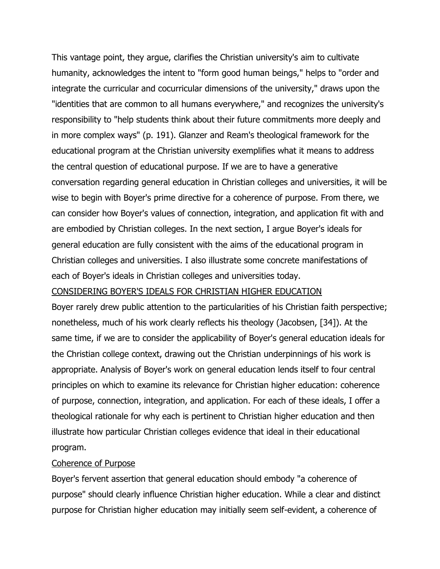This vantage point, they argue, clarifies the Christian university's aim to cultivate humanity, acknowledges the intent to "form good human beings," helps to "order and integrate the curricular and cocurricular dimensions of the university," draws upon the "identities that are common to all humans everywhere," and recognizes the university's responsibility to "help students think about their future commitments more deeply and in more complex ways" (p. 191). Glanzer and Ream's theological framework for the educational program at the Christian university exemplifies what it means to address the central question of educational purpose. If we are to have a generative conversation regarding general education in Christian colleges and universities, it will be wise to begin with Boyer's prime directive for a coherence of purpose. From there, we can consider how Boyer's values of connection, integration, and application fit with and are embodied by Christian colleges. In the next section, I argue Boyer's ideals for general education are fully consistent with the aims of the educational program in Christian colleges and universities. I also illustrate some concrete manifestations of each of Boyer's ideals in Christian colleges and universities today.

CONSIDERING BOYER'S IDEALS FOR CHRISTIAN HIGHER EDUCATION

Boyer rarely drew public attention to the particularities of his Christian faith perspective; nonetheless, much of his work clearly reflects his theology (Jacobsen, [34]). At the same time, if we are to consider the applicability of Boyer's general education ideals for the Christian college context, drawing out the Christian underpinnings of his work is appropriate. Analysis of Boyer's work on general education lends itself to four central principles on which to examine its relevance for Christian higher education: coherence of purpose, connection, integration, and application. For each of these ideals, I offer a theological rationale for why each is pertinent to Christian higher education and then illustrate how particular Christian colleges evidence that ideal in their educational program.

#### Coherence of Purpose

Boyer's fervent assertion that general education should embody "a coherence of purpose" should clearly influence Christian higher education. While a clear and distinct purpose for Christian higher education may initially seem self-evident, a coherence of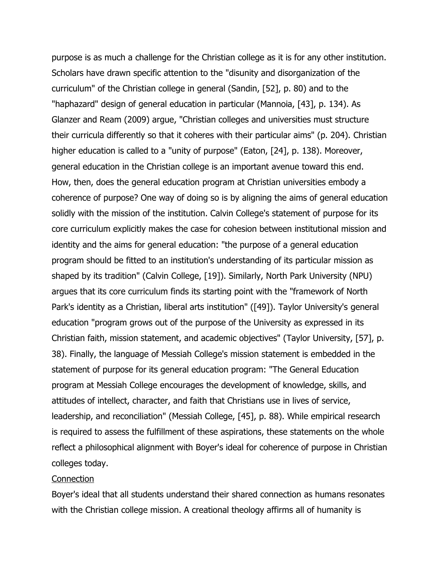purpose is as much a challenge for the Christian college as it is for any other institution. Scholars have drawn specific attention to the "disunity and disorganization of the curriculum" of the Christian college in general (Sandin, [52], p. 80) and to the "haphazard" design of general education in particular (Mannoia, [43], p. 134). As Glanzer and Ream (2009) argue, "Christian colleges and universities must structure their curricula differently so that it coheres with their particular aims" (p. 204). Christian higher education is called to a "unity of purpose" (Eaton, [24], p. 138). Moreover, general education in the Christian college is an important avenue toward this end. How, then, does the general education program at Christian universities embody a coherence of purpose? One way of doing so is by aligning the aims of general education solidly with the mission of the institution. Calvin College's statement of purpose for its core curriculum explicitly makes the case for cohesion between institutional mission and identity and the aims for general education: "the purpose of a general education program should be fitted to an institution's understanding of its particular mission as shaped by its tradition" (Calvin College, [19]). Similarly, North Park University (NPU) argues that its core curriculum finds its starting point with the "framework of North Park's identity as a Christian, liberal arts institution" ([49]). Taylor University's general education "program grows out of the purpose of the University as expressed in its Christian faith, mission statement, and academic objectives" (Taylor University, [57], p. 38). Finally, the language of Messiah College's mission statement is embedded in the statement of purpose for its general education program: "The General Education program at Messiah College encourages the development of knowledge, skills, and attitudes of intellect, character, and faith that Christians use in lives of service, leadership, and reconciliation" (Messiah College, [45], p. 88). While empirical research is required to assess the fulfillment of these aspirations, these statements on the whole reflect a philosophical alignment with Boyer's ideal for coherence of purpose in Christian colleges today.

#### **Connection**

Boyer's ideal that all students understand their shared connection as humans resonates with the Christian college mission. A creational theology affirms all of humanity is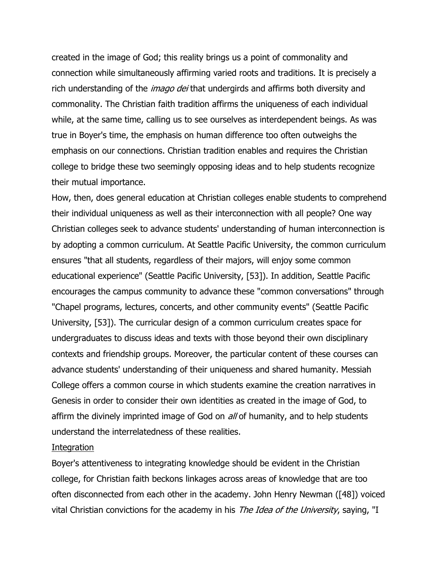created in the image of God; this reality brings us a point of commonality and connection while simultaneously affirming varied roots and traditions. It is precisely a rich understanding of the *imago dei* that undergirds and affirms both diversity and commonality. The Christian faith tradition affirms the uniqueness of each individual while, at the same time, calling us to see ourselves as interdependent beings. As was true in Boyer's time, the emphasis on human difference too often outweighs the emphasis on our connections. Christian tradition enables and requires the Christian college to bridge these two seemingly opposing ideas and to help students recognize their mutual importance.

How, then, does general education at Christian colleges enable students to comprehend their individual uniqueness as well as their interconnection with all people? One way Christian colleges seek to advance students' understanding of human interconnection is by adopting a common curriculum. At Seattle Pacific University, the common curriculum ensures "that all students, regardless of their majors, will enjoy some common educational experience" (Seattle Pacific University, [53]). In addition, Seattle Pacific encourages the campus community to advance these "common conversations" through "Chapel programs, lectures, concerts, and other community events" (Seattle Pacific University, [53]). The curricular design of a common curriculum creates space for undergraduates to discuss ideas and texts with those beyond their own disciplinary contexts and friendship groups. Moreover, the particular content of these courses can advance students' understanding of their uniqueness and shared humanity. Messiah College offers a common course in which students examine the creation narratives in Genesis in order to consider their own identities as created in the image of God, to affirm the divinely imprinted image of God on all of humanity, and to help students understand the interrelatedness of these realities.

#### **Integration**

Boyer's attentiveness to integrating knowledge should be evident in the Christian college, for Christian faith beckons linkages across areas of knowledge that are too often disconnected from each other in the academy. John Henry Newman ([48]) voiced vital Christian convictions for the academy in his *The Idea of the University*, saying, "I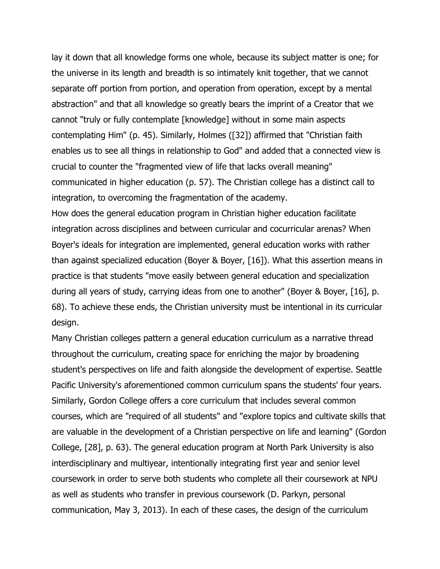lay it down that all knowledge forms one whole, because its subject matter is one; for the universe in its length and breadth is so intimately knit together, that we cannot separate off portion from portion, and operation from operation, except by a mental abstraction" and that all knowledge so greatly bears the imprint of a Creator that we cannot "truly or fully contemplate [knowledge] without in some main aspects contemplating Him" (p. 45). Similarly, Holmes ([32]) affirmed that "Christian faith enables us to see all things in relationship to God" and added that a connected view is crucial to counter the "fragmented view of life that lacks overall meaning" communicated in higher education (p. 57). The Christian college has a distinct call to integration, to overcoming the fragmentation of the academy.

How does the general education program in Christian higher education facilitate integration across disciplines and between curricular and cocurricular arenas? When Boyer's ideals for integration are implemented, general education works with rather than against specialized education (Boyer & Boyer, [16]). What this assertion means in practice is that students "move easily between general education and specialization during all years of study, carrying ideas from one to another" (Boyer & Boyer, [16], p. 68). To achieve these ends, the Christian university must be intentional in its curricular design.

Many Christian colleges pattern a general education curriculum as a narrative thread throughout the curriculum, creating space for enriching the major by broadening student's perspectives on life and faith alongside the development of expertise. Seattle Pacific University's aforementioned common curriculum spans the students' four years. Similarly, Gordon College offers a core curriculum that includes several common courses, which are "required of all students" and "explore topics and cultivate skills that are valuable in the development of a Christian perspective on life and learning" (Gordon College, [28], p. 63). The general education program at North Park University is also interdisciplinary and multiyear, intentionally integrating first year and senior level coursework in order to serve both students who complete all their coursework at NPU as well as students who transfer in previous coursework (D. Parkyn, personal communication, May 3, 2013). In each of these cases, the design of the curriculum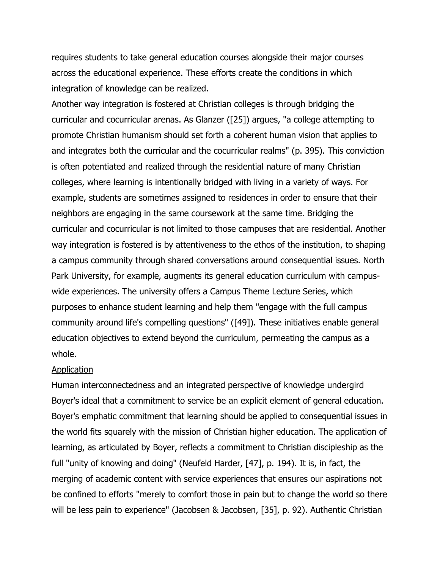requires students to take general education courses alongside their major courses across the educational experience. These efforts create the conditions in which integration of knowledge can be realized.

Another way integration is fostered at Christian colleges is through bridging the curricular and cocurricular arenas. As Glanzer ([25]) argues, "a college attempting to promote Christian humanism should set forth a coherent human vision that applies to and integrates both the curricular and the cocurricular realms" (p. 395). This conviction is often potentiated and realized through the residential nature of many Christian colleges, where learning is intentionally bridged with living in a variety of ways. For example, students are sometimes assigned to residences in order to ensure that their neighbors are engaging in the same coursework at the same time. Bridging the curricular and cocurricular is not limited to those campuses that are residential. Another way integration is fostered is by attentiveness to the ethos of the institution, to shaping a campus community through shared conversations around consequential issues. North Park University, for example, augments its general education curriculum with campuswide experiences. The university offers a Campus Theme Lecture Series, which purposes to enhance student learning and help them "engage with the full campus community around life's compelling questions" ([49]). These initiatives enable general education objectives to extend beyond the curriculum, permeating the campus as a whole.

#### Application

Human interconnectedness and an integrated perspective of knowledge undergird Boyer's ideal that a commitment to service be an explicit element of general education. Boyer's emphatic commitment that learning should be applied to consequential issues in the world fits squarely with the mission of Christian higher education. The application of learning, as articulated by Boyer, reflects a commitment to Christian discipleship as the full "unity of knowing and doing" (Neufeld Harder, [47], p. 194). It is, in fact, the merging of academic content with service experiences that ensures our aspirations not be confined to efforts "merely to comfort those in pain but to change the world so there will be less pain to experience" (Jacobsen & Jacobsen, [35], p. 92). Authentic Christian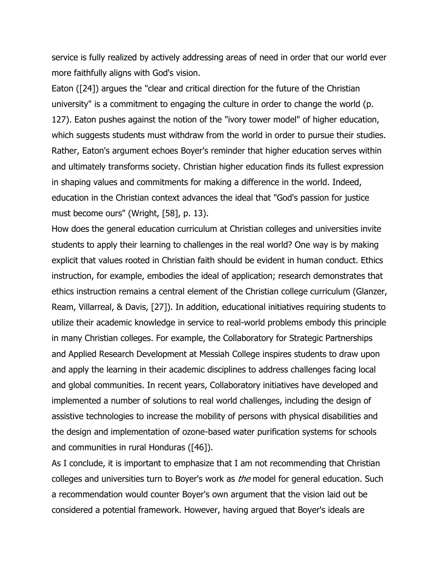service is fully realized by actively addressing areas of need in order that our world ever more faithfully aligns with God's vision.

Eaton ([24]) argues the "clear and critical direction for the future of the Christian university" is a commitment to engaging the culture in order to change the world (p. 127). Eaton pushes against the notion of the "ivory tower model" of higher education, which suggests students must withdraw from the world in order to pursue their studies. Rather, Eaton's argument echoes Boyer's reminder that higher education serves within and ultimately transforms society. Christian higher education finds its fullest expression in shaping values and commitments for making a difference in the world. Indeed, education in the Christian context advances the ideal that "God's passion for justice must become ours" (Wright, [58], p. 13).

How does the general education curriculum at Christian colleges and universities invite students to apply their learning to challenges in the real world? One way is by making explicit that values rooted in Christian faith should be evident in human conduct. Ethics instruction, for example, embodies the ideal of application; research demonstrates that ethics instruction remains a central element of the Christian college curriculum (Glanzer, Ream, Villarreal, & Davis, [27]). In addition, educational initiatives requiring students to utilize their academic knowledge in service to real-world problems embody this principle in many Christian colleges. For example, the Collaboratory for Strategic Partnerships and Applied Research Development at Messiah College inspires students to draw upon and apply the learning in their academic disciplines to address challenges facing local and global communities. In recent years, Collaboratory initiatives have developed and implemented a number of solutions to real world challenges, including the design of assistive technologies to increase the mobility of persons with physical disabilities and the design and implementation of ozone-based water purification systems for schools and communities in rural Honduras ([46]).

As I conclude, it is important to emphasize that I am not recommending that Christian colleges and universities turn to Boyer's work as *the* model for general education. Such a recommendation would counter Boyer's own argument that the vision laid out be considered a potential framework. However, having argued that Boyer's ideals are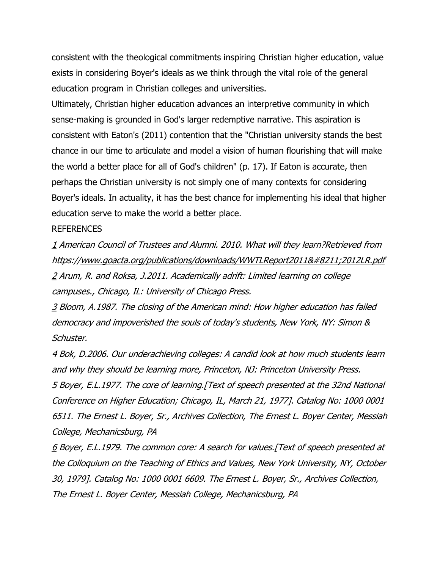consistent with the theological commitments inspiring Christian higher education, value exists in considering Boyer's ideals as we think through the vital role of the general education program in Christian colleges and universities.

Ultimately, Christian higher education advances an interpretive community in which sense-making is grounded in God's larger redemptive narrative. This aspiration is consistent with Eaton's (2011) contention that the "Christian university stands the best chance in our time to articulate and model a vision of human flourishing that will make the world a better place for all of God's children" (p. 17). If Eaton is accurate, then perhaps the Christian university is not simply one of many contexts for considering Boyer's ideals. In actuality, it has the best chance for implementing his ideal that higher education serve to make the world a better place.

#### REFERENCES

1 American Council of Trustees and Alumni. 2010. What will they learn?Retrieved from https://www.goacta.org/publications/downloads/WWTLReport2011–2012LR.pdf 2 Arum, R. and Roksa, J.2011. Academically adrift: Limited learning on college campuses., Chicago, IL: University of Chicago Press.

3 Bloom, A.1987. The closing of the American mind: How higher education has failed democracy and impoverished the souls of today's students, New York, NY: Simon & Schuster.

4 Bok, D.2006. Our underachieving colleges: A candid look at how much students learn and why they should be learning more, Princeton, NJ: Princeton University Press.

5 Boyer, E.L.1977. The core of learning.[Text of speech presented at the 32nd National Conference on Higher Education; Chicago, IL, March 21, 1977]. Catalog No: 1000 0001 6511. The Ernest L. Boyer, Sr., Archives Collection, The Ernest L. Boyer Center, Messiah College, Mechanicsburg, PA

6 Boyer, E.L.1979. The common core: A search for values.[Text of speech presented at the Colloquium on the Teaching of Ethics and Values, New York University, NY, October 30, 1979]. Catalog No: 1000 0001 6609. The Ernest L. Boyer, Sr., Archives Collection, The Ernest L. Boyer Center, Messiah College, Mechanicsburg, PA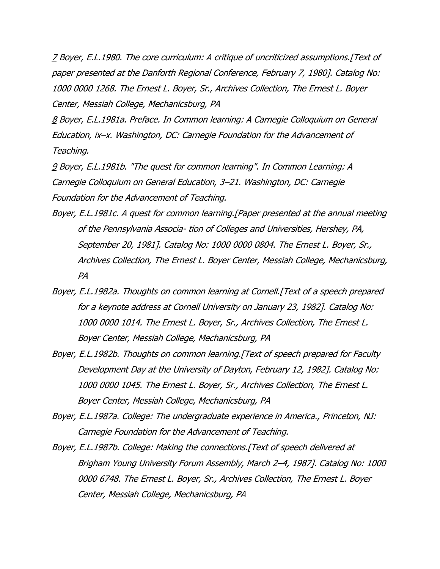7 Boyer, E.L.1980. The core curriculum: A critique of uncriticized assumptions.[Text of paper presented at the Danforth Regional Conference, February 7, 1980]. Catalog No: 1000 0000 1268. The Ernest L. Boyer, Sr., Archives Collection, The Ernest L. Boyer Center, Messiah College, Mechanicsburg, PA

8 Boyer, E.L.1981a. Preface. In Common learning: A Carnegie Colloquium on General Education, ix–x. Washington, DC: Carnegie Foundation for the Advancement of Teaching.

9 Boyer, E.L.1981b. "The quest for common learning". In Common Learning: A Carnegie Colloquium on General Education, 3–21. Washington, DC: Carnegie Foundation for the Advancement of Teaching.

Boyer, E.L.1981c. A quest for common learning.[Paper presented at the annual meeting of the Pennsylvania Associa- tion of Colleges and Universities, Hershey, PA, September 20, 1981]. Catalog No: 1000 0000 0804. The Ernest L. Boyer, Sr., Archives Collection, The Ernest L. Boyer Center, Messiah College, Mechanicsburg, PA

- Boyer, E.L.1982a. Thoughts on common learning at Cornell.[Text of a speech prepared for a keynote address at Cornell University on January 23, 1982]. Catalog No: 1000 0000 1014. The Ernest L. Boyer, Sr., Archives Collection, The Ernest L. Boyer Center, Messiah College, Mechanicsburg, PA
- Boyer, E.L.1982b. Thoughts on common learning.[Text of speech prepared for Faculty Development Day at the University of Dayton, February 12, 1982]. Catalog No: 1000 0000 1045. The Ernest L. Boyer, Sr., Archives Collection, The Ernest L. Boyer Center, Messiah College, Mechanicsburg, PA
- Boyer, E.L.1987a. College: The undergraduate experience in America., Princeton, NJ: Carnegie Foundation for the Advancement of Teaching.
- Boyer, E.L.1987b. College: Making the connections.[Text of speech delivered at Brigham Young University Forum Assembly, March 2–4, 1987]. Catalog No: 1000 0000 6748. The Ernest L. Boyer, Sr., Archives Collection, The Ernest L. Boyer Center, Messiah College, Mechanicsburg, PA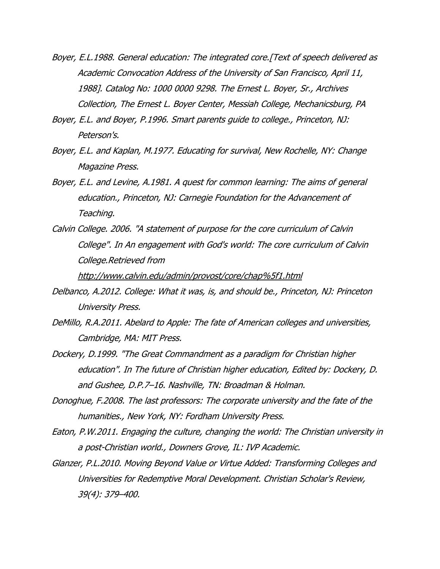- Boyer, E.L.1988. General education: The integrated core.[Text of speech delivered as Academic Convocation Address of the University of San Francisco, April 11, 1988]. Catalog No: 1000 0000 9298. The Ernest L. Boyer, Sr., Archives Collection, The Ernest L. Boyer Center, Messiah College, Mechanicsburg, PA
- Boyer, E.L. and Boyer, P.1996. Smart parents guide to college., Princeton, NJ: Peterson's.
- Boyer, E.L. and Kaplan, M.1977. Educating for survival, New Rochelle, NY: Change Magazine Press.
- Boyer, E.L. and Levine, A.1981. A quest for common learning: The aims of general education., Princeton, NJ: Carnegie Foundation for the Advancement of Teaching.
- Calvin College. 2006. "A statement of purpose for the core curriculum of Calvin College". In An engagement with God's world: The core curriculum of Calvin College.Retrieved from

http://www.calvin.edu/admin/provost/core/chap%5f1.html

- Delbanco, A.2012. College: What it was, is, and should be., Princeton, NJ: Princeton University Press.
- DeMillo, R.A.2011. Abelard to Apple: The fate of American colleges and universities, Cambridge, MA: MIT Press.
- Dockery, D.1999. "The Great Commandment as a paradigm for Christian higher education". In The future of Christian higher education, Edited by: Dockery, D. and Gushee, D.P.7–16. Nashville, TN: Broadman & Holman.
- Donoghue, F.2008. The last professors: The corporate university and the fate of the humanities., New York, NY: Fordham University Press.
- Eaton, P.W.2011. Engaging the culture, changing the world: The Christian university in a post-Christian world., Downers Grove, IL: IVP Academic.
- Glanzer, P.L.2010. Moving Beyond Value or Virtue Added: Transforming Colleges and Universities for Redemptive Moral Development. Christian Scholar's Review, 39(4): 379–400.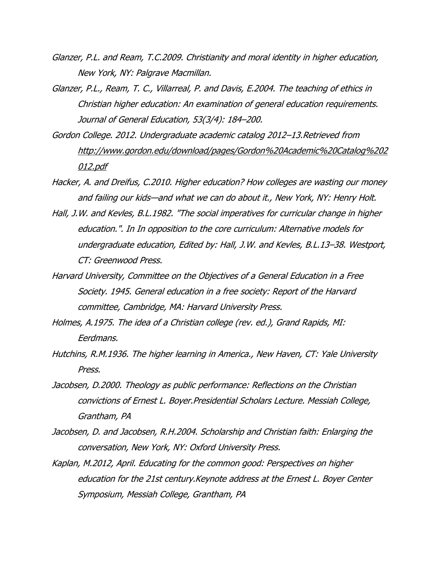- Glanzer, P.L. and Ream, T.C.2009. Christianity and moral identity in higher education, New York, NY: Palgrave Macmillan.
- Glanzer, P.L., Ream, T. C., Villarreal, P. and Davis, E.2004. The teaching of ethics in Christian higher education: An examination of general education requirements. Journal of General Education, 53(3/4): 184–200.
- Gordon College. 2012. Undergraduate academic catalog 2012–13.Retrieved from http://www.gordon.edu/download/pages/Gordon%20Academic%20Catalog%202 012.pdf
- Hacker, A. and Dreifus, C.2010. Higher education? How colleges are wasting our money and failing our kids—and what we can do about it., New York, NY: Henry Holt.
- Hall, J.W. and Kevles, B.L.1982. "The social imperatives for curricular change in higher education.". In In opposition to the core curriculum: Alternative models for undergraduate education, Edited by: Hall, J.W. and Kevles, B.L.13–38. Westport, CT: Greenwood Press.
- Harvard University, Committee on the Objectives of a General Education in a Free Society. 1945. General education in a free society: Report of the Harvard committee, Cambridge, MA: Harvard University Press.
- Holmes, A.1975. The idea of a Christian college (rev. ed.), Grand Rapids, MI: Eerdmans.
- Hutchins, R.M.1936. The higher learning in America., New Haven, CT: Yale University Press.
- Jacobsen, D.2000. Theology as public performance: Reflections on the Christian convictions of Ernest L. Boyer.Presidential Scholars Lecture. Messiah College, Grantham, PA
- Jacobsen, D. and Jacobsen, R.H.2004. Scholarship and Christian faith: Enlarging the conversation, New York, NY: Oxford University Press.
- Kaplan, M.2012, April. Educating for the common good: Perspectives on higher education for the 21st century.Keynote address at the Ernest L. Boyer Center Symposium, Messiah College, Grantham, PA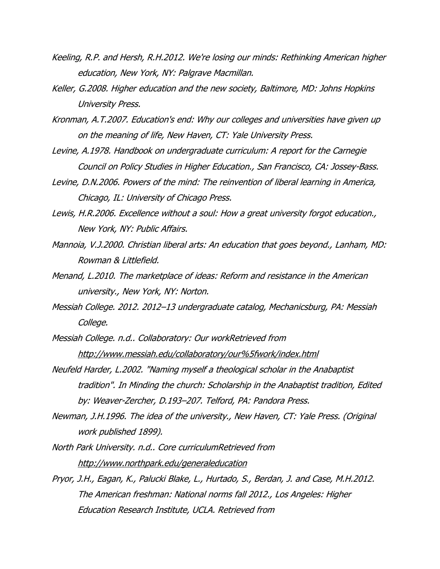- Keeling, R.P. and Hersh, R.H.2012. We're losing our minds: Rethinking American higher education, New York, NY: Palgrave Macmillan.
- Keller, G.2008. Higher education and the new society, Baltimore, MD: Johns Hopkins University Press.
- Kronman, A.T.2007. Education's end: Why our colleges and universities have given up on the meaning of life, New Haven, CT: Yale University Press.
- Levine, A.1978. Handbook on undergraduate curriculum: A report for the Carnegie Council on Policy Studies in Higher Education., San Francisco, CA: Jossey-Bass.
- Levine, D.N.2006. Powers of the mind: The reinvention of liberal learning in America, Chicago, IL: University of Chicago Press.
- Lewis, H.R.2006. Excellence without a soul: How a great university forgot education., New York, NY: Public Affairs.
- Mannoia, V.J.2000. Christian liberal arts: An education that goes beyond., Lanham, MD: Rowman & Littlefield.
- Menand, L.2010. The marketplace of ideas: Reform and resistance in the American university., New York, NY: Norton.
- Messiah College. 2012. 2012–13 undergraduate catalog, Mechanicsburg, PA: Messiah College.
- Messiah College. n.d.. Collaboratory: Our workRetrieved from http://www.messiah.edu/collaboratory/our%5fwork/index.html
- Neufeld Harder, L.2002. "Naming myself a theological scholar in the Anabaptist tradition". In Minding the church: Scholarship in the Anabaptist tradition, Edited by: Weaver-Zercher, D.193–207. Telford, PA: Pandora Press.
- Newman, J.H.1996. The idea of the university., New Haven, CT: Yale Press. (Original work published 1899).
- North Park University. n.d.. Core curriculumRetrieved from http://www.northpark.edu/generaleducation
- Pryor, J.H., Eagan, K., Palucki Blake, L., Hurtado, S., Berdan, J. and Case, M.H.2012. The American freshman: National norms fall 2012., Los Angeles: Higher Education Research Institute, UCLA. Retrieved from